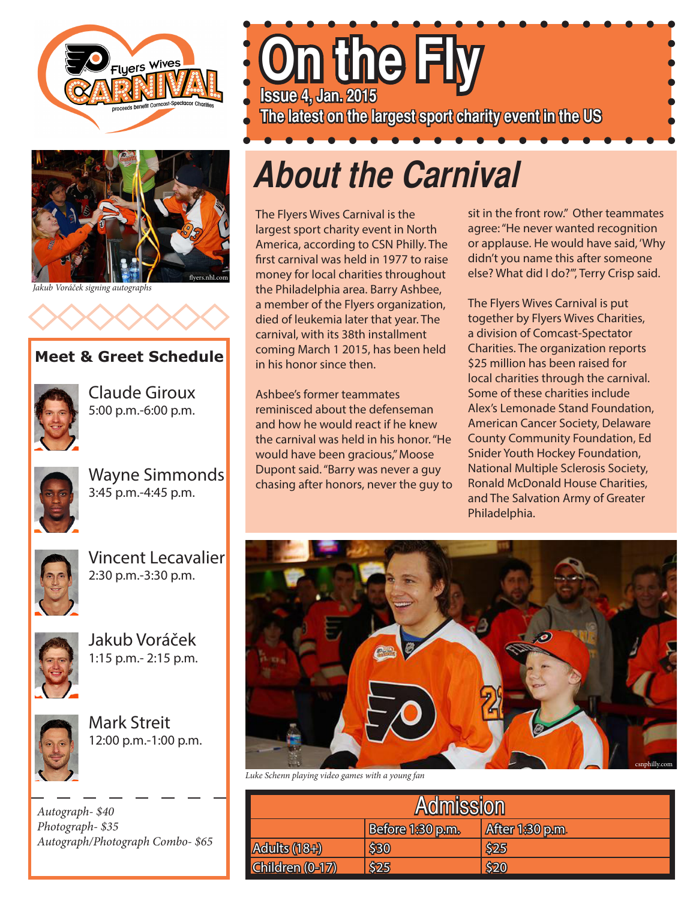



*Jakub Voráček signing autographs*



#### **Meet & Greet Schedule**



Claude Giroux 5:00 p.m.-6:00 p.m.



Wayne Simmonds 3:45 p.m.-4:45 p.m.



Vincent Lecavalier 2:30 p.m.-3:30 p.m.



Jakub Voráček 1:15 p.m.- 2:15 p.m.



Mark Streit 12:00 p.m.-1:00 p.m.

*Autograph- \$40 Photograph- \$35 Autograph/Photograph Combo- \$65* **On the Fly Issue 4, Jan. 2015 The latest on the largest sport charity event in the US**

# **About the Carnival**

The Flyers Wives Carnival is the largest sport charity event in North America, according to CSN Philly. The first carnival was held in 1977 to raise money for local charities throughout the Philadelphia area. Barry Ashbee, a member of the Flyers organization, died of leukemia later that year. The carnival, with its 38th installment coming March 1 2015, has been held in his honor since then.

Ashbee's former teammates reminisced about the defenseman and how he would react if he knew the carnival was held in his honor. "He would have been gracious," Moose Dupont said. "Barry was never a guy chasing after honors, never the guy to sit in the front row." Other teammates agree: "He never wanted recognition or applause. He would have said, 'Why didn't you name this after someone else? What did I do?'", Terry Crisp said.

The Flyers Wives Carnival is put together by Flyers Wives Charities, a division of Comcast-Spectator Charities. The organization reports \$25 million has been raised for local charities through the carnival. Some of these charities include Alex's Lemonade Stand Foundation, American Cancer Society, Delaware County Community Foundation, Ed Snider Youth Hockey Foundation, National Multiple Sclerosis Society, Ronald McDonald House Charities, and The Salvation Army of Greater Philadelphia.



*Luke Schenn playing video games with a young fan*

| <b>Admission</b> |                  |                 |  |
|------------------|------------------|-----------------|--|
|                  | Before 1:30 p.m. | After 1:30 p.m. |  |
| Adults (18+)     | \$30             | \$25            |  |
| Children (0-17)  | \$25             | \$20            |  |